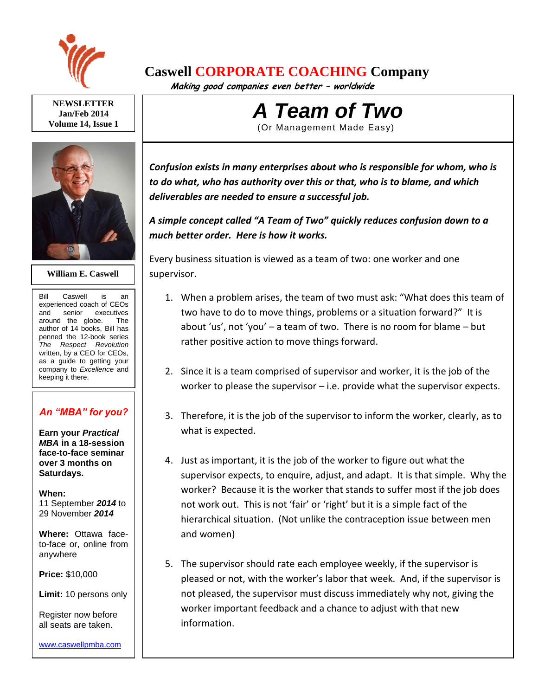

# **Caswell CORPORATE COACHING Company**

 **Making good companies even better – worldwide**

**NEWSLETTER Jan/Feb 2014 Volume 14, Issue 1**



## **William E. Caswell**

Bill Caswell is an experienced coach of CEOs and senior executives around the globe. The author of 14 books, Bill has penned the 12-book series *The Respect Revolution* written, by a CEO for CEOs, as a guide to getting your company to *Excellence* and keeping it there.

# *An "MBA" for you?*

**Earn your** *Practical MBA* **in a 18-session face-to-face seminar over 3 months on Saturdays.**

### **When:**

11 September *2014* to 29 November *2014*

**Where:** Ottawa faceto-face or, online from anywhere

**Price:** \$10,000

**Limit:** 10 persons only

Register now before all seats are taken.

#### [www.caswellpmba.com](http://www.caswellpmba.com/)

*A Team of Two* (Or Management Made Easy)

*Confusion exists in many enterprises about who is responsible for whom, who is to do what, who has authority over this or that, who is to blame, and which deliverables are needed to ensure a successful job.*

*A simple concept called "A Team of Two" quickly reduces confusion down to a much better order. Here is how it works.*

Every business situation is viewed as a team of two: one worker and one supervisor.

- 1. When a problem arises, the team of two must ask: "What does this team of two have to do to move things, problems or a situation forward?" It is about 'us', not 'you' – a team of two. There is no room for blame – but rather positive action to move things forward.
- 2. Since it is a team comprised of supervisor and worker, it is the job of the worker to please the supervisor – i.e. provide what the supervisor expects.
- 3. Therefore, it is the job of the supervisor to inform the worker, clearly, as to what is expected.
- 4. Just as important, it is the job of the worker to figure out what the supervisor expects, to enquire, adjust, and adapt. It is that simple. Why the worker? Because it is the worker that stands to suffer most if the job does not work out. This is not 'fair' or 'right' but it is a simple fact of the hierarchical situation. (Not unlike the contraception issue between men and women)
- 5. The supervisor should rate each employee weekly, if the supervisor is pleased or not, with the worker's labor that week. And, if the supervisor is not pleased, the supervisor must discuss immediately why not, giving the worker important feedback and a chance to adjust with that new information.